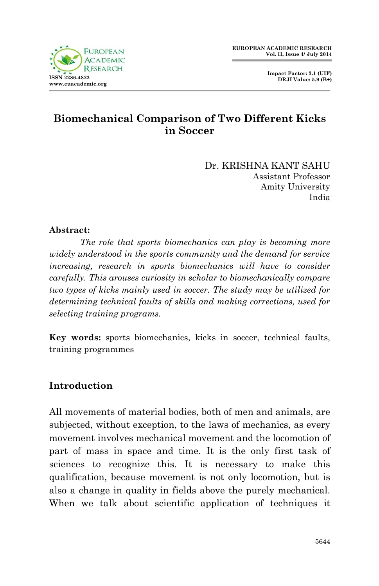

 **Impact Factor: 3.1 (UIF) DRJI Value: 5.9 (B+)**

# **Biomechanical Comparison of Two Different Kicks in Soccer**

Dr. KRISHNA KANT SAHU Assistant Professor Amity University India

#### **Abstract:**

*The role that sports biomechanics can play is becoming more widely understood in the sports community and the demand for service increasing, research in sports biomechanics will have to consider carefully. This arouses curiosity in scholar to biomechanically compare two types of kicks mainly used in soccer. The study may be utilized for determining technical faults of skills and making corrections, used for selecting training programs.*

**Key words:** sports biomechanics, kicks in soccer, technical faults, training programmes

### **Introduction**

All movements of material bodies, both of men and animals, are subjected, without exception, to the laws of mechanics, as every movement involves mechanical movement and the locomotion of part of mass in space and time. It is the only first task of sciences to recognize this. It is necessary to make this qualification, because movement is not only locomotion, but is also a change in quality in fields above the purely mechanical. When we talk about scientific application of techniques it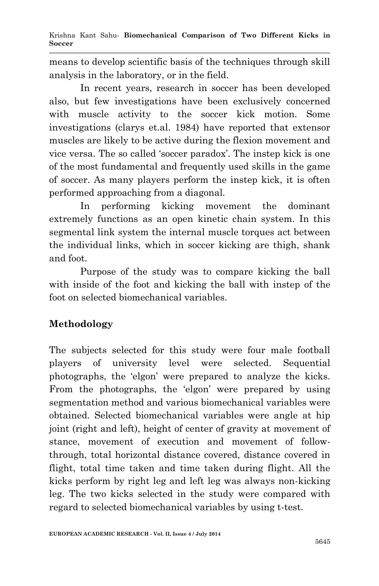means to develop scientific basis of the techniques through skill analysis in the laboratory, or in the field.

 In recent years, research in soccer has been developed also, but few investigations have been exclusively concerned with muscle activity to the soccer kick motion. Some investigations (clarys et.al. 1984) have reported that extensor muscles are likely to be active during the flexion movement and vice versa. The so called 'soccer paradox'. The instep kick is one of the most fundamental and frequently used skills in the game of soccer. As many players perform the instep kick, it is often performed approaching from a diagonal.

In performing kicking movement the dominant extremely functions as an open kinetic chain system. In this segmental link system the internal muscle torques act between the individual links, which in soccer kicking are thigh, shank and foot.

Purpose of the study was to compare kicking the ball with inside of the foot and kicking the ball with instep of the foot on selected biomechanical variables.

## **Methodology**

The subjects selected for this study were four male football players of university level were selected. Sequential photographs, the 'elgon' were prepared to analyze the kicks. From the photographs, the 'elgon' were prepared by using segmentation method and various biomechanical variables were obtained. Selected biomechanical variables were angle at hip joint (right and left), height of center of gravity at movement of stance, movement of execution and movement of followthrough, total horizontal distance covered, distance covered in flight, total time taken and time taken during flight. All the kicks perform by right leg and left leg was always non-kicking leg. The two kicks selected in the study were compared with regard to selected biomechanical variables by using t-test.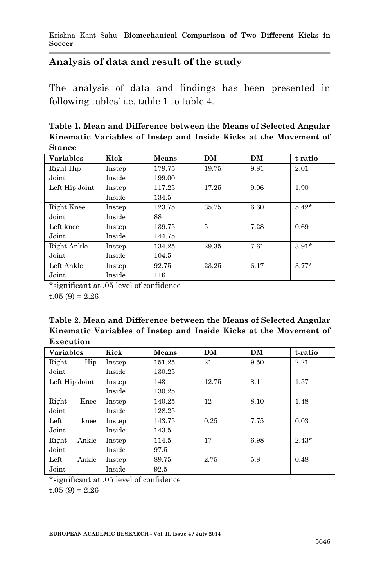### **Analysis of data and result of the study**

The analysis of data and findings has been presented in following tables' i.e. table 1 to table 4.

**Table 1. Mean and Difference between the Means of Selected Angular Kinematic Variables of Instep and Inside Kicks at the Movement of Stance**

| <b>Variables</b> | Kick   | <b>Means</b> | <b>DM</b> | <b>DM</b> | t-ratio |
|------------------|--------|--------------|-----------|-----------|---------|
| Right Hip        | Instep | 179.75       | 19.75     | 9.81      | 2.01    |
| Joint            | Inside | 199.00       |           |           |         |
| Left Hip Joint   | Instep | 117.25       | 17.25     | 9.06      | 1.90    |
|                  | Inside | 134.5        |           |           |         |
| Right Knee       | Instep | 123.75       | 35.75     | 6.60      | $5.42*$ |
| Joint            | Inside | 88           |           |           |         |
| Left knee        | Instep | 139.75       | 5         | 7.28      | 0.69    |
| Joint            | Inside | 144.75       |           |           |         |
| Right Ankle      | Instep | 134.25       | 29.35     | 7.61      | $3.91*$ |
| Joint            | Inside | 104.5        |           |           |         |
| Left Ankle       | Instep | 92.75        | 23.25     | 6.17      | $3.77*$ |
| Joint            | Inside | 116          |           |           |         |

\*significant at .05 level of confidence  $t.05(9) = 2.26$ 

**Table 2. Mean and Difference between the Means of Selected Angular Kinematic Variables of Instep and Inside Kicks at the Movement of Execution**

| <b>Variables</b> | Kick   | Means  | <b>DM</b> | <b>DM</b> | t-ratio |
|------------------|--------|--------|-----------|-----------|---------|
| Hip<br>Right     | Instep | 151.25 | 21        | 9.50      | 2.21    |
| Joint            | Inside | 130.25 |           |           |         |
| Left Hip Joint   | Instep | 143    | 12.75     | 8.11      | 1.57    |
|                  | Inside | 130.25 |           |           |         |
| Right<br>Knee    | Instep | 140.25 | 12        | 8.10      | 1.48    |
| Joint            | Inside | 128.25 |           |           |         |
| Left<br>knee     | Instep | 143.75 | 0.25      | 7.75      | 0.03    |
| Joint            | Inside | 143.5  |           |           |         |
| Ankle<br>Right   | Instep | 114.5  | 17        | 6.98      | $2.43*$ |
| Joint            | Inside | 97.5   |           |           |         |
| Ankle<br>Left    | Instep | 89.75  | 2.75      | 5.8       | 0.48    |
| Joint            | Inside | 92.5   |           |           |         |

\*significant at .05 level of confidence

 $t.05(9) = 2.26$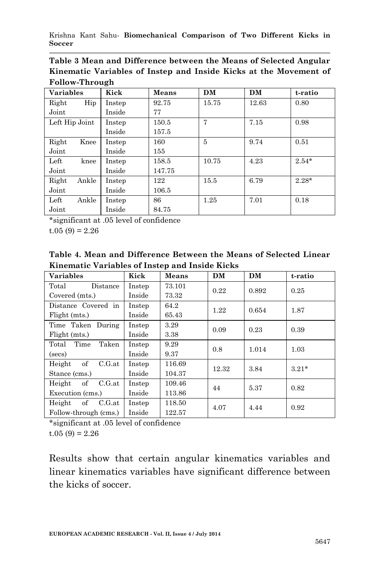Krishna Kant Sahu*-* **Biomechanical Comparison of Two Different Kicks in Soccer**

| Table 3 Mean and Difference between the Means of Selected Angular |
|-------------------------------------------------------------------|
| Kinematic Variables of Instep and Inside Kicks at the Movement of |
| Follow-Through                                                    |

| <b>Variables</b> | Kick   | Means  | DM    | <b>DM</b> | t-ratio |
|------------------|--------|--------|-------|-----------|---------|
| Hip<br>Right     | Instep | 92.75  | 15.75 | 12.63     | 0.80    |
| Joint            | Inside | 77     |       |           |         |
| Left Hip Joint   | Instep | 150.5  | 7     | 7.15      | 0.98    |
|                  | Inside | 157.5  |       |           |         |
| Right<br>Knee    | Instep | 160    | 5     | 9.74      | 0.51    |
| Joint            | Inside | 155    |       |           |         |
| Left<br>knee     | Instep | 158.5  | 10.75 | 4.23      | $2.54*$ |
| Joint            | Inside | 147.75 |       |           |         |
| Ankle<br>Right   | Instep | 122    | 15.5  | 6.79      | $2.28*$ |
| Joint            | Inside | 106.5  |       |           |         |
| Ankle<br>Left    | Instep | 86     | 1.25  | 7.01      | 0.18    |
| Joint            | Inside | 84.75  |       |           |         |

\*significant at .05 level of confidence

 $t.05(9) = 2.26$ 

**Table 4. Mean and Difference Between the Means of Selected Linear Kinematic Variables of Instep and Inside Kicks** 

| <b>Variables</b>       | Kick   | <b>Means</b> | <b>DM</b> | DM    | t-ratio |
|------------------------|--------|--------------|-----------|-------|---------|
| Total<br>Distance      | Instep | 73.101       | 0.22      | 0.892 | 0.25    |
| Covered (mts.)         | Inside | 73.32        |           |       |         |
| Distance Covered in    | Instep | 64.2         | 1.22      | 0.654 | 1.87    |
| Flight (mts.)          | Inside | 65.43        |           |       |         |
| Time Taken During      | Instep | 3.29         | 0.09      | 0.23  | 0.39    |
| Flight (mts.)          | Inside | 3.38         |           |       |         |
| Time<br>Taken<br>Total | Instep | 9.29         | 0.8       | 1.014 | 1.03    |
| (secs)                 | Inside | 9.37         |           |       |         |
| of<br>C.G.at<br>Height | Instep | 116.69       | 12.32     | 3.84  | $3.21*$ |
| Stance (cms.)          | Inside | 104.37       |           |       |         |
| of<br>C.G.at<br>Height | Instep | 109.46       | 44        | 5.37  | 0.82    |
| Execution (cms.)       | Inside | 113.86       |           |       |         |
| of<br>Height<br>C.G.at | Instep | 118.50       | 4.07      | 4.44  | 0.92    |
| Follow-through (cms.)  | Inside | 122.57       |           |       |         |

\*significant at .05 level of confidence  $t.05(9) = 2.26$ 

Results show that certain angular kinematics variables and linear kinematics variables have significant difference between the kicks of soccer.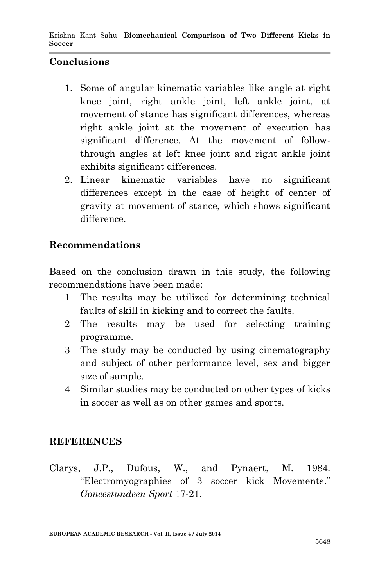### **Conclusions**

- 1. Some of angular kinematic variables like angle at right knee joint, right ankle joint, left ankle joint, at movement of stance has significant differences, whereas right ankle joint at the movement of execution has significant difference. At the movement of followthrough angles at left knee joint and right ankle joint exhibits significant differences.
- 2. Linear kinematic variables have no significant differences except in the case of height of center of gravity at movement of stance, which shows significant difference.

#### **Recommendations**

Based on the conclusion drawn in this study, the following recommendations have been made:

- 1 The results may be utilized for determining technical faults of skill in kicking and to correct the faults.
- 2 The results may be used for selecting training programme.
- 3 The study may be conducted by using cinematography and subject of other performance level, sex and bigger size of sample.
- 4 Similar studies may be conducted on other types of kicks in soccer as well as on other games and sports.

#### **REFERENCES**

Clarys, J.P., Dufous, W., and Pynaert, M. 1984. "Electromyographies of 3 soccer kick Movements." *Goneestundeen Sport* 17-21.